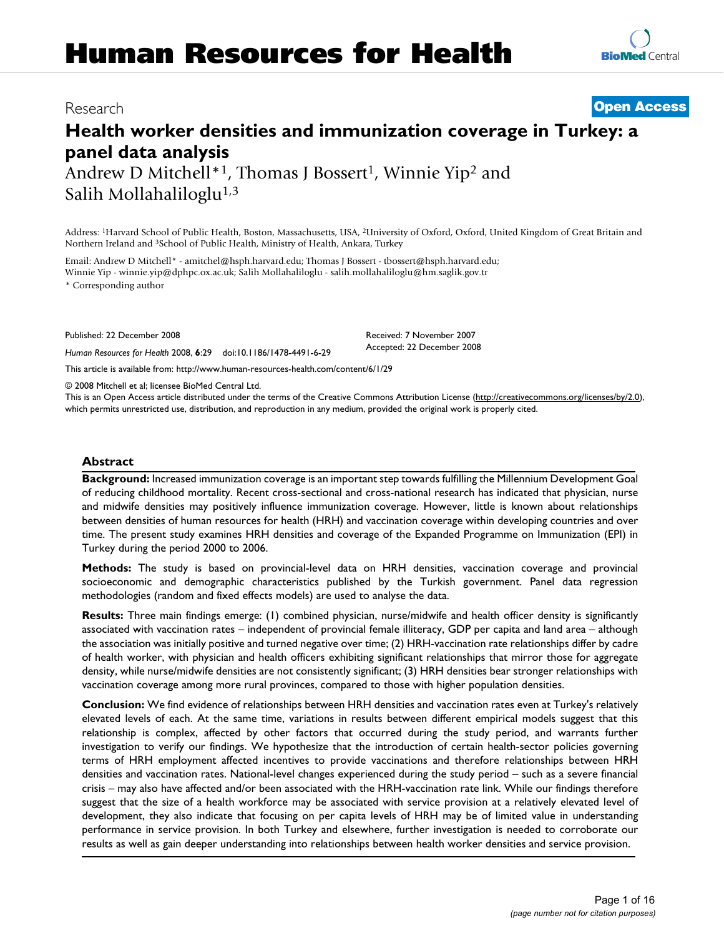# **Human Resources for Health**

## Research **[Open Access](http://www.biomedcentral.com/info/about/charter/)**

# **Health worker densities and immunization coverage in Turkey: a panel data analysis**

Andrew D Mitchell<sup>\*1</sup>, Thomas J Bossert<sup>1</sup>, Winnie Yip<sup>2</sup> and Salih Mollahaliloglu $1,3$ 

Address: 1Harvard School of Public Health, Boston, Massachusetts, USA, 2University of Oxford, Oxford, United Kingdom of Great Britain and Northern Ireland and 3School of Public Health, Ministry of Health, Ankara, Turkey

Email: Andrew D Mitchell\* - amitchel@hsph.harvard.edu; Thomas J Bossert - tbossert@hsph.harvard.edu; Winnie Yip - winnie.yip@dphpc.ox.ac.uk; Salih Mollahaliloglu - salih.mollahaliloglu@hm.saglik.gov.tr

\* Corresponding author

Published: 22 December 2008

*Human Resources for Health* 2008, **6**:29 doi:10.1186/1478-4491-6-29

[This article is available from: http://www.human-resources-health.com/content/6/1/29](http://www.human-resources-health.com/content/6/1/29)

© 2008 Mitchell et al; licensee BioMed Central Ltd.

This is an Open Access article distributed under the terms of the Creative Commons Attribution License [\(http://creativecommons.org/licenses/by/2.0\)](http://creativecommons.org/licenses/by/2.0), which permits unrestricted use, distribution, and reproduction in any medium, provided the original work is properly cited.

#### **Abstract**

**Background:** Increased immunization coverage is an important step towards fulfilling the Millennium Development Goal of reducing childhood mortality. Recent cross-sectional and cross-national research has indicated that physician, nurse and midwife densities may positively influence immunization coverage. However, little is known about relationships between densities of human resources for health (HRH) and vaccination coverage within developing countries and over time. The present study examines HRH densities and coverage of the Expanded Programme on Immunization (EPI) in Turkey during the period 2000 to 2006.

**Methods:** The study is based on provincial-level data on HRH densities, vaccination coverage and provincial socioeconomic and demographic characteristics published by the Turkish government. Panel data regression methodologies (random and fixed effects models) are used to analyse the data.

**Results:** Three main findings emerge: (1) combined physician, nurse/midwife and health officer density is significantly associated with vaccination rates – independent of provincial female illiteracy, GDP per capita and land area – although the association was initially positive and turned negative over time; (2) HRH-vaccination rate relationships differ by cadre of health worker, with physician and health officers exhibiting significant relationships that mirror those for aggregate density, while nurse/midwife densities are not consistently significant; (3) HRH densities bear stronger relationships with vaccination coverage among more rural provinces, compared to those with higher population densities.

**Conclusion:** We find evidence of relationships between HRH densities and vaccination rates even at Turkey's relatively elevated levels of each. At the same time, variations in results between different empirical models suggest that this relationship is complex, affected by other factors that occurred during the study period, and warrants further investigation to verify our findings. We hypothesize that the introduction of certain health-sector policies governing terms of HRH employment affected incentives to provide vaccinations and therefore relationships between HRH densities and vaccination rates. National-level changes experienced during the study period – such as a severe financial crisis – may also have affected and/or been associated with the HRH-vaccination rate link. While our findings therefore suggest that the size of a health workforce may be associated with service provision at a relatively elevated level of development, they also indicate that focusing on per capita levels of HRH may be of limited value in understanding performance in service provision. In both Turkey and elsewhere, further investigation is needed to corroborate our results as well as gain deeper understanding into relationships between health worker densities and service provision.

Received: 7 November 2007

Accepted: 22 December 2008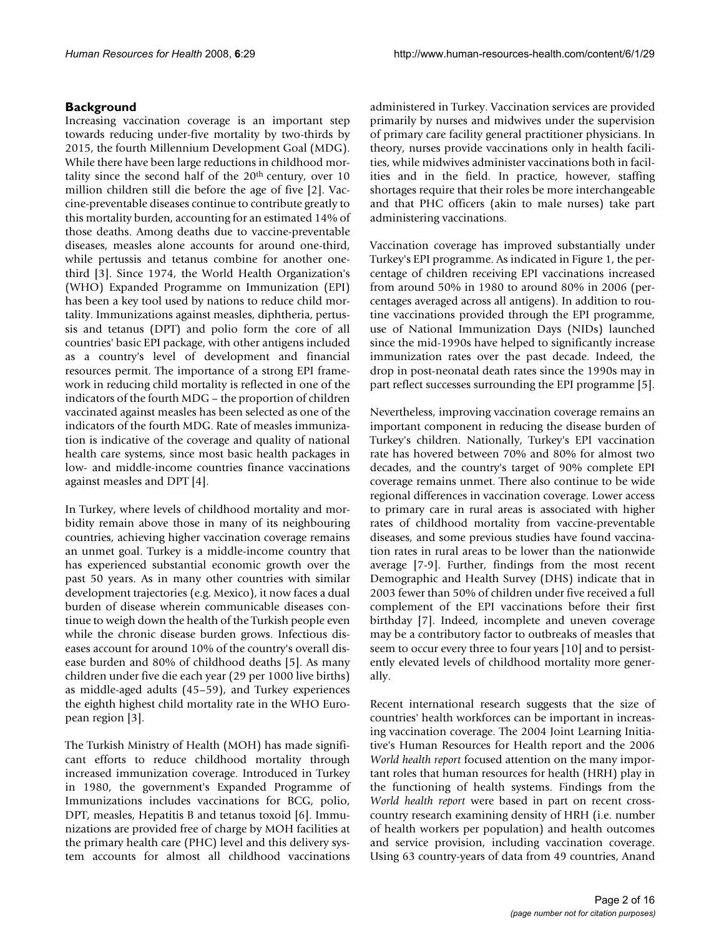### **Background**

Increasing vaccination coverage is an important step towards reducing under-five mortality by two-thirds by 2015, the fourth Millennium Development Goal (MDG). While there have been large reductions in childhood mortality since the second half of the  $20<sup>th</sup>$  century, over 10 million children still die before the age of five [2]. Vaccine-preventable diseases continue to contribute greatly to this mortality burden, accounting for an estimated 14% of those deaths. Among deaths due to vaccine-preventable diseases, measles alone accounts for around one-third, while pertussis and tetanus combine for another onethird [3]. Since 1974, the World Health Organization's (WHO) Expanded Programme on Immunization (EPI) has been a key tool used by nations to reduce child mortality. Immunizations against measles, diphtheria, pertussis and tetanus (DPT) and polio form the core of all countries' basic EPI package, with other antigens included as a country's level of development and financial resources permit. The importance of a strong EPI framework in reducing child mortality is reflected in one of the indicators of the fourth MDG – the proportion of children vaccinated against measles has been selected as one of the indicators of the fourth MDG. Rate of measles immunization is indicative of the coverage and quality of national health care systems, since most basic health packages in low- and middle-income countries finance vaccinations against measles and DPT [4].

In Turkey, where levels of childhood mortality and morbidity remain above those in many of its neighbouring countries, achieving higher vaccination coverage remains an unmet goal. Turkey is a middle-income country that has experienced substantial economic growth over the past 50 years. As in many other countries with similar development trajectories (e.g. Mexico), it now faces a dual burden of disease wherein communicable diseases continue to weigh down the health of the Turkish people even while the chronic disease burden grows. Infectious diseases account for around 10% of the country's overall disease burden and 80% of childhood deaths [5]. As many children under five die each year (29 per 1000 live births) as middle-aged adults (45–59), and Turkey experiences the eighth highest child mortality rate in the WHO European region [3].

The Turkish Ministry of Health (MOH) has made significant efforts to reduce childhood mortality through increased immunization coverage. Introduced in Turkey in 1980, the government's Expanded Programme of Immunizations includes vaccinations for BCG, polio, DPT, measles, Hepatitis B and tetanus toxoid [6]. Immunizations are provided free of charge by MOH facilities at the primary health care (PHC) level and this delivery system accounts for almost all childhood vaccinations

administered in Turkey. Vaccination services are provided primarily by nurses and midwives under the supervision of primary care facility general practitioner physicians. In theory, nurses provide vaccinations only in health facilities, while midwives administer vaccinations both in facilities and in the field. In practice, however, staffing shortages require that their roles be more interchangeable and that PHC officers (akin to male nurses) take part administering vaccinations.

Vaccination coverage has improved substantially under Turkey's EPI programme. As indicated in Figure 1, the percentage of children receiving EPI vaccinations increased from around 50% in 1980 to around 80% in 2006 (percentages averaged across all antigens). In addition to routine vaccinations provided through the EPI programme, use of National Immunization Days (NIDs) launched since the mid-1990s have helped to significantly increase immunization rates over the past decade. Indeed, the drop in post-neonatal death rates since the 1990s may in part reflect successes surrounding the EPI programme [5].

Nevertheless, improving vaccination coverage remains an important component in reducing the disease burden of Turkey's children. Nationally, Turkey's EPI vaccination rate has hovered between 70% and 80% for almost two decades, and the country's target of 90% complete EPI coverage remains unmet. There also continue to be wide regional differences in vaccination coverage. Lower access to primary care in rural areas is associated with higher rates of childhood mortality from vaccine-preventable diseases, and some previous studies have found vaccination rates in rural areas to be lower than the nationwide average [7-9]. Further, findings from the most recent Demographic and Health Survey (DHS) indicate that in 2003 fewer than 50% of children under five received a full complement of the EPI vaccinations before their first birthday [7]. Indeed, incomplete and uneven coverage may be a contributory factor to outbreaks of measles that seem to occur every three to four years [10] and to persistently elevated levels of childhood mortality more generally.

Recent international research suggests that the size of countries' health workforces can be important in increasing vaccination coverage. The 2004 Joint Learning Initiative's Human Resources for Health report and the 2006 *World health report* focused attention on the many important roles that human resources for health (HRH) play in the functioning of health systems. Findings from the *World health report* were based in part on recent crosscountry research examining density of HRH (i.e. number of health workers per population) and health outcomes and service provision, including vaccination coverage. Using 63 country-years of data from 49 countries, Anand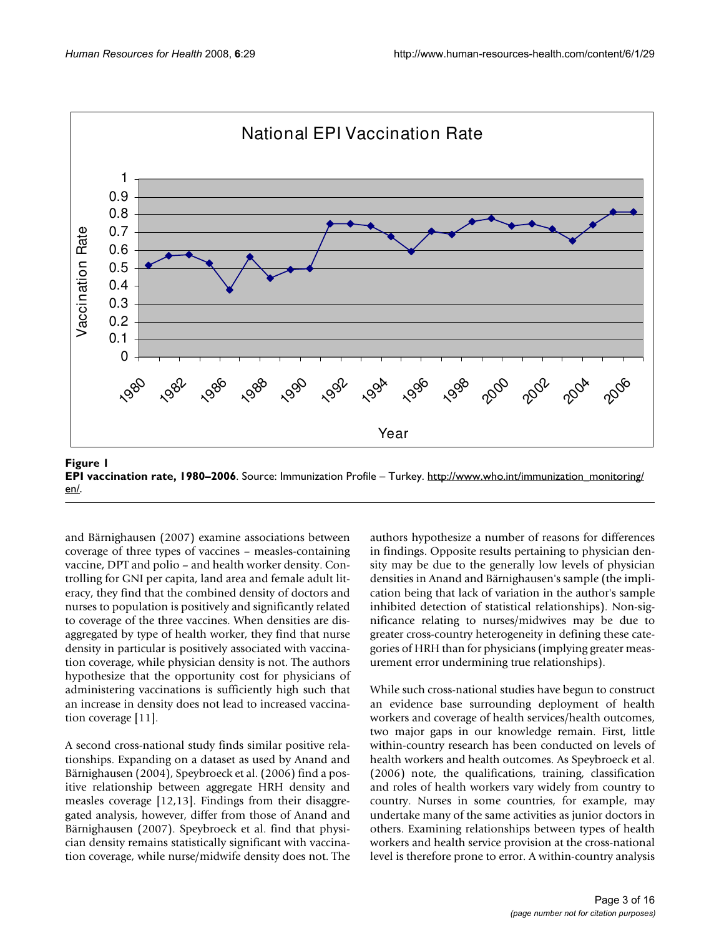

**EPI vaccination rate, 1980–2006**. Source: Immunization Profile – Turkey. [http://www.who.int/immunization\\_monitoring/](http://www.who.int/immunization_monitoring/en/) [en/](http://www.who.int/immunization_monitoring/en/).

and Bärnighausen (2007) examine associations between coverage of three types of vaccines – measles-containing vaccine, DPT and polio – and health worker density. Controlling for GNI per capita, land area and female adult literacy, they find that the combined density of doctors and nurses to population is positively and significantly related to coverage of the three vaccines. When densities are disaggregated by type of health worker, they find that nurse density in particular is positively associated with vaccination coverage, while physician density is not. The authors hypothesize that the opportunity cost for physicians of administering vaccinations is sufficiently high such that an increase in density does not lead to increased vaccination coverage [11].

A second cross-national study finds similar positive relationships. Expanding on a dataset as used by Anand and Bärnighausen (2004), Speybroeck et al. (2006) find a positive relationship between aggregate HRH density and measles coverage [12,13]. Findings from their disaggregated analysis, however, differ from those of Anand and Bärnighausen (2007). Speybroeck et al. find that physician density remains statistically significant with vaccination coverage, while nurse/midwife density does not. The authors hypothesize a number of reasons for differences in findings. Opposite results pertaining to physician density may be due to the generally low levels of physician densities in Anand and Bärnighausen's sample (the implication being that lack of variation in the author's sample inhibited detection of statistical relationships). Non-significance relating to nurses/midwives may be due to greater cross-country heterogeneity in defining these categories of HRH than for physicians (implying greater measurement error undermining true relationships).

While such cross-national studies have begun to construct an evidence base surrounding deployment of health workers and coverage of health services/health outcomes, two major gaps in our knowledge remain. First, little within-country research has been conducted on levels of health workers and health outcomes. As Speybroeck et al. (2006) note, the qualifications, training, classification and roles of health workers vary widely from country to country. Nurses in some countries, for example, may undertake many of the same activities as junior doctors in others. Examining relationships between types of health workers and health service provision at the cross-national level is therefore prone to error. A within-country analysis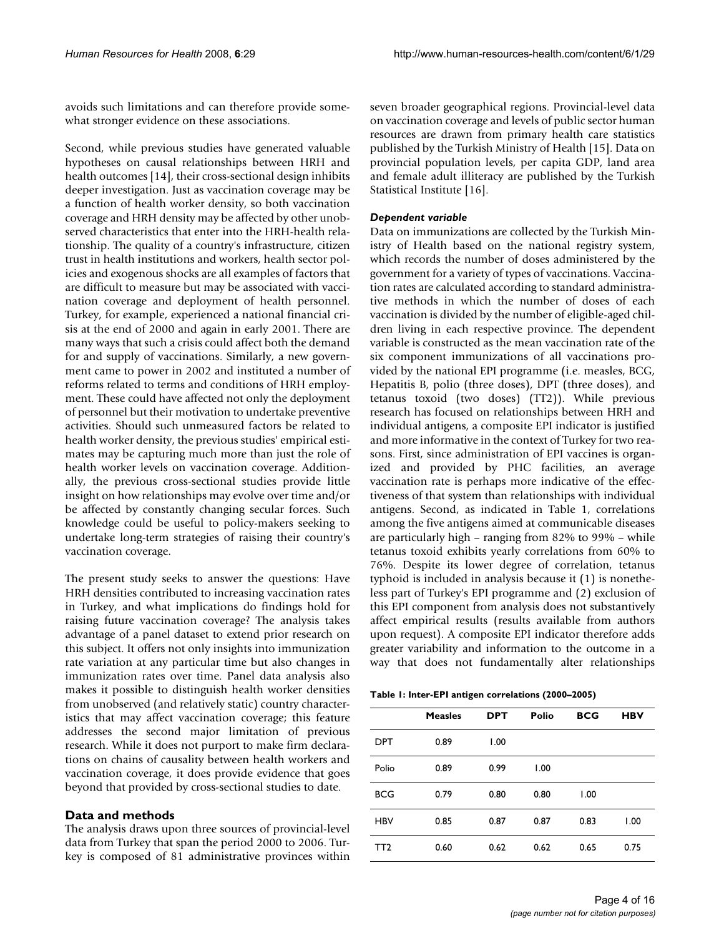avoids such limitations and can therefore provide somewhat stronger evidence on these associations.

Second, while previous studies have generated valuable hypotheses on causal relationships between HRH and health outcomes [14], their cross-sectional design inhibits deeper investigation. Just as vaccination coverage may be a function of health worker density, so both vaccination coverage and HRH density may be affected by other unobserved characteristics that enter into the HRH-health relationship. The quality of a country's infrastructure, citizen trust in health institutions and workers, health sector policies and exogenous shocks are all examples of factors that are difficult to measure but may be associated with vaccination coverage and deployment of health personnel. Turkey, for example, experienced a national financial crisis at the end of 2000 and again in early 2001. There are many ways that such a crisis could affect both the demand for and supply of vaccinations. Similarly, a new government came to power in 2002 and instituted a number of reforms related to terms and conditions of HRH employment. These could have affected not only the deployment of personnel but their motivation to undertake preventive activities. Should such unmeasured factors be related to health worker density, the previous studies' empirical estimates may be capturing much more than just the role of health worker levels on vaccination coverage. Additionally, the previous cross-sectional studies provide little insight on how relationships may evolve over time and/or be affected by constantly changing secular forces. Such knowledge could be useful to policy-makers seeking to undertake long-term strategies of raising their country's vaccination coverage.

The present study seeks to answer the questions: Have HRH densities contributed to increasing vaccination rates in Turkey, and what implications do findings hold for raising future vaccination coverage? The analysis takes advantage of a panel dataset to extend prior research on this subject. It offers not only insights into immunization rate variation at any particular time but also changes in immunization rates over time. Panel data analysis also makes it possible to distinguish health worker densities from unobserved (and relatively static) country characteristics that may affect vaccination coverage; this feature addresses the second major limitation of previous research. While it does not purport to make firm declarations on chains of causality between health workers and vaccination coverage, it does provide evidence that goes beyond that provided by cross-sectional studies to date.

#### **Data and methods**

The analysis draws upon three sources of provincial-level data from Turkey that span the period 2000 to 2006. Turkey is composed of 81 administrative provinces within seven broader geographical regions. Provincial-level data on vaccination coverage and levels of public sector human resources are drawn from primary health care statistics published by the Turkish Ministry of Health [15]. Data on provincial population levels, per capita GDP, land area and female adult illiteracy are published by the Turkish Statistical Institute [16].

#### *Dependent variable*

Data on immunizations are collected by the Turkish Ministry of Health based on the national registry system, which records the number of doses administered by the government for a variety of types of vaccinations. Vaccination rates are calculated according to standard administrative methods in which the number of doses of each vaccination is divided by the number of eligible-aged children living in each respective province. The dependent variable is constructed as the mean vaccination rate of the six component immunizations of all vaccinations provided by the national EPI programme (i.e. measles, BCG, Hepatitis B, polio (three doses), DPT (three doses), and tetanus toxoid (two doses) (TT2)). While previous research has focused on relationships between HRH and individual antigens, a composite EPI indicator is justified and more informative in the context of Turkey for two reasons. First, since administration of EPI vaccines is organized and provided by PHC facilities, an average vaccination rate is perhaps more indicative of the effectiveness of that system than relationships with individual antigens. Second, as indicated in Table 1, correlations among the five antigens aimed at communicable diseases are particularly high – ranging from 82% to 99% – while tetanus toxoid exhibits yearly correlations from 60% to 76%. Despite its lower degree of correlation, tetanus typhoid is included in analysis because it (1) is nonetheless part of Turkey's EPI programme and (2) exclusion of this EPI component from analysis does not substantively affect empirical results (results available from authors upon request). A composite EPI indicator therefore adds greater variability and information to the outcome in a way that does not fundamentally alter relationships

|  | Table 1: Inter-EPI antigen correlations (2000-2005) |
|--|-----------------------------------------------------|
|--|-----------------------------------------------------|

|                 | <b>Measles</b> | <b>DPT</b> | Polio | <b>BCG</b> | <b>HBV</b> |
|-----------------|----------------|------------|-------|------------|------------|
| <b>DPT</b>      | 0.89           | 1.00       |       |            |            |
| Polio           | 0.89           | 0.99       | 1.00  |            |            |
| <b>BCG</b>      | 0.79           | 0.80       | 0.80  | 1.00       |            |
| <b>HBV</b>      | 0.85           | 0.87       | 0.87  | 0.83       | 1.00       |
| TT <sub>2</sub> | 0.60           | 0.62       | 0.62  | 0.65       | 0.75       |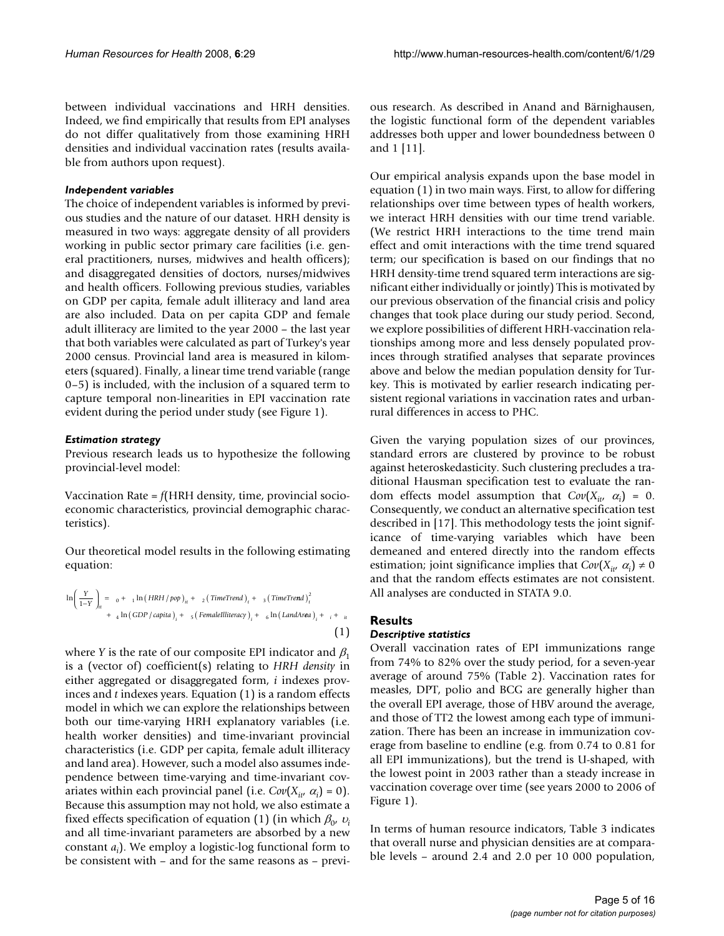between individual vaccinations and HRH densities. Indeed, we find empirically that results from EPI analyses do not differ qualitatively from those examining HRH densities and individual vaccination rates (results available from authors upon request).

#### *Independent variables*

The choice of independent variables is informed by previous studies and the nature of our dataset. HRH density is measured in two ways: aggregate density of all providers working in public sector primary care facilities (i.e. general practitioners, nurses, midwives and health officers); and disaggregated densities of doctors, nurses/midwives and health officers. Following previous studies, variables on GDP per capita, female adult illiteracy and land area are also included. Data on per capita GDP and female adult illiteracy are limited to the year 2000 – the last year that both variables were calculated as part of Turkey's year 2000 census. Provincial land area is measured in kilometers (squared). Finally, a linear time trend variable (range 0–5) is included, with the inclusion of a squared term to capture temporal non-linearities in EPI vaccination rate evident during the period under study (see Figure 1).

#### *Estimation strategy*

Previous research leads us to hypothesize the following provincial-level model:

Vaccination Rate = *f*(HRH density, time, provincial socioeconomic characteristics, provincial demographic characteristics).

Our theoretical model results in the following estimating equation:

$$
\ln\left(\frac{Y}{1-Y}\right)_{ii} = 0 + 1\ln\left(HRH/pop\right)_{ii} + 2\left(Tim\ell Trend\right)_{i} + 3\left(Tim\ell Trend\right)_{i}^{2} + 4\ln\left(GDP/\alpha pita\right)_{i} + 5\left(Femalelliteracy\right)_{i} + 6\ln\left(LandArea\right)_{i} + i + ii
$$
\n(1)

where *Y* is the rate of our composite EPI indicator and  $\beta_1$ is a (vector of) coefficient(s) relating to *HRH density* in either aggregated or disaggregated form, *i* indexes provinces and *t* indexes years. Equation (1) is a random effects model in which we can explore the relationships between both our time-varying HRH explanatory variables (i.e. health worker densities) and time-invariant provincial characteristics (i.e. GDP per capita, female adult illiteracy and land area). However, such a model also assumes independence between time-varying and time-invariant covariates within each provincial panel (i.e.  $Cov(X_{it}, \alpha_i) = 0$ ). Because this assumption may not hold, we also estimate a fixed effects specification of equation (1) (in which  $\beta_0$ ,  $v_i$ and all time-invariant parameters are absorbed by a new constant *ai* ). We employ a logistic-log functional form to be consistent with – and for the same reasons as – previous research. As described in Anand and Bärnighausen, the logistic functional form of the dependent variables addresses both upper and lower boundedness between 0 and 1 [11].

Our empirical analysis expands upon the base model in equation (1) in two main ways. First, to allow for differing relationships over time between types of health workers, we interact HRH densities with our time trend variable. (We restrict HRH interactions to the time trend main effect and omit interactions with the time trend squared term; our specification is based on our findings that no HRH density-time trend squared term interactions are significant either individually or jointly) This is motivated by our previous observation of the financial crisis and policy changes that took place during our study period. Second, we explore possibilities of different HRH-vaccination relationships among more and less densely populated provinces through stratified analyses that separate provinces above and below the median population density for Turkey. This is motivated by earlier research indicating persistent regional variations in vaccination rates and urbanrural differences in access to PHC.

Given the varying population sizes of our provinces, standard errors are clustered by province to be robust against heteroskedasticity. Such clustering precludes a traditional Hausman specification test to evaluate the random effects model assumption that  $Cov(X_{it}, \alpha_i) = 0$ . Consequently, we conduct an alternative specification test described in [17]. This methodology tests the joint significance of time-varying variables which have been demeaned and entered directly into the random effects estimation; joint significance implies that  $Cov(X_{it}, \alpha_i) \neq 0$ and that the random effects estimates are not consistent. All analyses are conducted in STATA 9.0.

#### **Results**

#### *Descriptive statistics*

Overall vaccination rates of EPI immunizations range from 74% to 82% over the study period, for a seven-year average of around 75% (Table 2). Vaccination rates for measles, DPT, polio and BCG are generally higher than the overall EPI average, those of HBV around the average, and those of TT2 the lowest among each type of immunization. There has been an increase in immunization coverage from baseline to endline (e.g. from 0.74 to 0.81 for all EPI immunizations), but the trend is U-shaped, with the lowest point in 2003 rather than a steady increase in vaccination coverage over time (see years 2000 to 2006 of Figure 1).

In terms of human resource indicators, Table 3 indicates that overall nurse and physician densities are at comparable levels – around 2.4 and 2.0 per 10 000 population,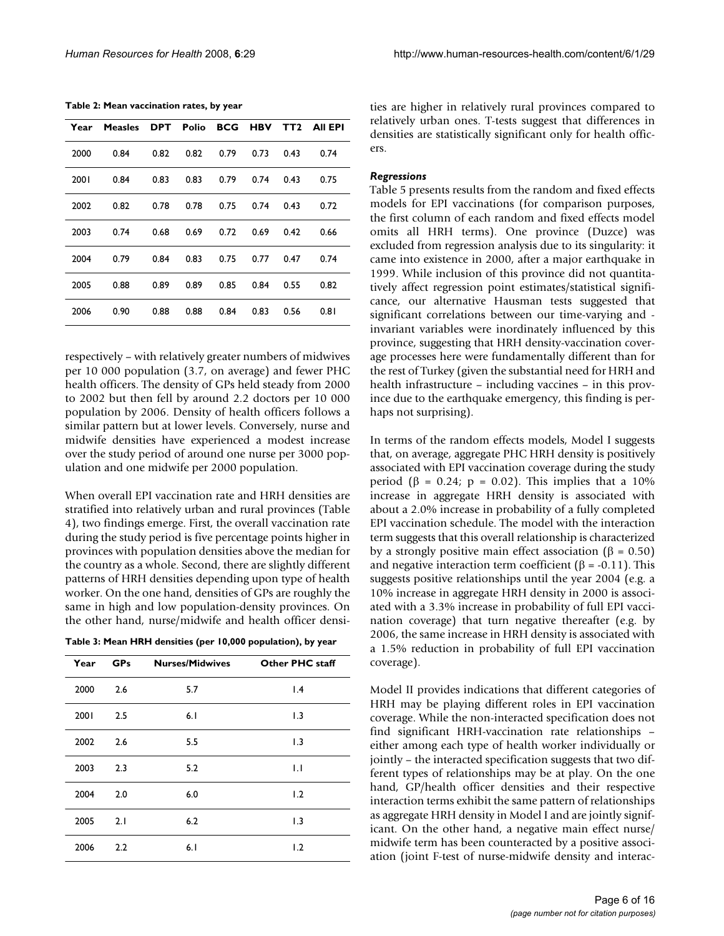| Year | Measles DPT Polio |      |      |      | <b>BCG HBV</b> |      | TT2 All EPI |
|------|-------------------|------|------|------|----------------|------|-------------|
| 2000 | 0.84              | 0.82 | 0.82 | 0.79 | 0.73           | 0.43 | 0.74        |
| 2001 | 0.84              | 0.83 | 0.83 | 0.79 | 0.74           | 0.43 | 0.75        |
| 2002 | 0.82              | 0.78 | 0.78 | 0.75 | 0.74           | 0.43 | 0.72        |
| 2003 | 0.74              | 0.68 | 0.69 | 0.72 | 0.69           | 0.42 | 0.66        |
| 2004 | 0.79              | 0.84 | 0.83 | 0.75 | 0.77           | 0.47 | 0.74        |
| 2005 | 0.88              | 0.89 | 0.89 | 0.85 | 0.84           | 0.55 | 0.82        |
| 2006 | 0.90              | 0.88 | 0.88 | 0.84 | 0.83           | 0.56 | 0.81        |

**Table 2: Mean vaccination rates, by year**

respectively – with relatively greater numbers of midwives per 10 000 population (3.7, on average) and fewer PHC health officers. The density of GPs held steady from 2000 to 2002 but then fell by around 2.2 doctors per 10 000 population by 2006. Density of health officers follows a similar pattern but at lower levels. Conversely, nurse and midwife densities have experienced a modest increase over the study period of around one nurse per 3000 population and one midwife per 2000 population.

When overall EPI vaccination rate and HRH densities are stratified into relatively urban and rural provinces (Table 4), two findings emerge. First, the overall vaccination rate during the study period is five percentage points higher in provinces with population densities above the median for the country as a whole. Second, there are slightly different patterns of HRH densities depending upon type of health worker. On the one hand, densities of GPs are roughly the same in high and low population-density provinces. On the other hand, nurse/midwife and health officer densi-

| Year | <b>GPs</b>       | <b>Nurses/Midwives</b> | Other PHC staff  |
|------|------------------|------------------------|------------------|
| 2000 | 2.6              | 5.7                    | $\mathsf{I}$ .4  |
| 2001 | 2.5              | 6.1                    | 1.3              |
| 2002 | 2.6              | 5.5                    | 1.3              |
| 2003 | 2.3              | 5.2                    | $\overline{1}$ . |
| 2004 | 2.0              | 6.0                    | 1.2              |
| 2005 | 2.1              | 6.2                    | 1.3              |
| 2006 | $2.2\phantom{0}$ | 6.1                    | 1.2              |

ties are higher in relatively rural provinces compared to relatively urban ones. T-tests suggest that differences in densities are statistically significant only for health officers.

#### *Regressions*

Table 5 presents results from the random and fixed effects models for EPI vaccinations (for comparison purposes, the first column of each random and fixed effects model omits all HRH terms). One province (Duzce) was excluded from regression analysis due to its singularity: it came into existence in 2000, after a major earthquake in 1999. While inclusion of this province did not quantitatively affect regression point estimates/statistical significance, our alternative Hausman tests suggested that significant correlations between our time-varying and invariant variables were inordinately influenced by this province, suggesting that HRH density-vaccination coverage processes here were fundamentally different than for the rest of Turkey (given the substantial need for HRH and health infrastructure – including vaccines – in this province due to the earthquake emergency, this finding is perhaps not surprising).

In terms of the random effects models, Model I suggests that, on average, aggregate PHC HRH density is positively associated with EPI vaccination coverage during the study period (β = 0.24; p = 0.02). This implies that a 10% increase in aggregate HRH density is associated with about a 2.0% increase in probability of a fully completed EPI vaccination schedule. The model with the interaction term suggests that this overall relationship is characterized by a strongly positive main effect association (β = 0.50) and negative interaction term coefficient ( $\beta$  = -0.11). This suggests positive relationships until the year 2004 (e.g. a 10% increase in aggregate HRH density in 2000 is associated with a 3.3% increase in probability of full EPI vaccination coverage) that turn negative thereafter (e.g. by 2006, the same increase in HRH density is associated with a 1.5% reduction in probability of full EPI vaccination coverage).

Model II provides indications that different categories of HRH may be playing different roles in EPI vaccination coverage. While the non-interacted specification does not find significant HRH-vaccination rate relationships – either among each type of health worker individually or jointly – the interacted specification suggests that two different types of relationships may be at play. On the one hand, GP/health officer densities and their respective interaction terms exhibit the same pattern of relationships as aggregate HRH density in Model I and are jointly significant. On the other hand, a negative main effect nurse/ midwife term has been counteracted by a positive association (joint F-test of nurse-midwife density and interac-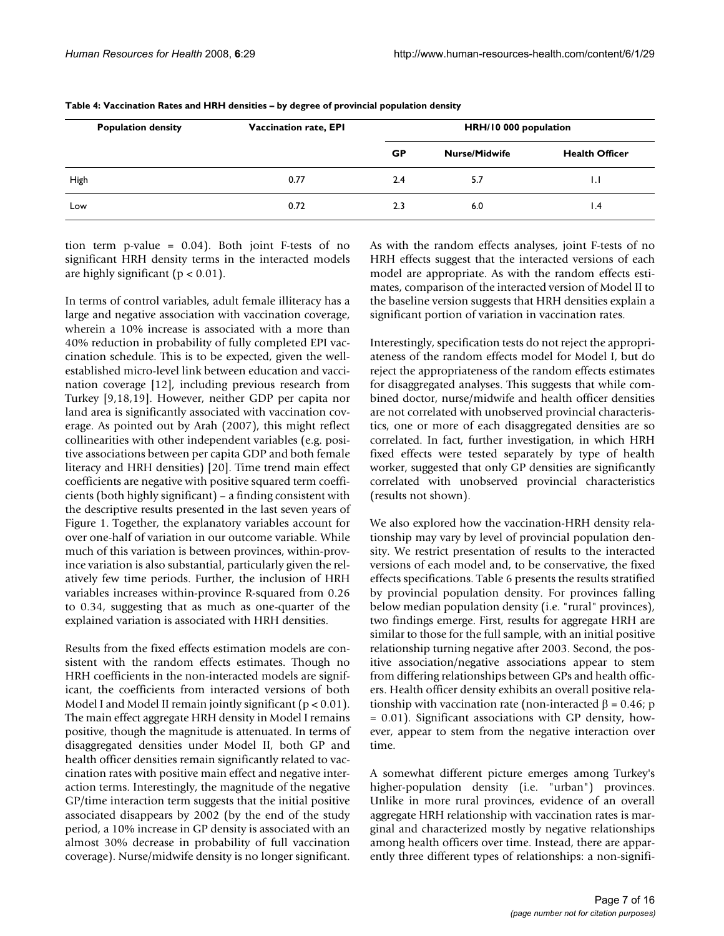| <b>Population density</b> | <b>Vaccination rate, EPI</b> |     | HRH/10 000 population |                       |  |  |  |  |
|---------------------------|------------------------------|-----|-----------------------|-----------------------|--|--|--|--|
|                           |                              | GP  | <b>Nurse/Midwife</b>  | <b>Health Officer</b> |  |  |  |  |
| High                      | 0.77                         | 2.4 | 5.7                   | I.I                   |  |  |  |  |
| Low                       | 0.72                         | 2.3 | 6.0                   | $\mathsf{I}$ .4       |  |  |  |  |

#### **Table 4: Vaccination Rates and HRH densities – by degree of provincial population density**

tion term p-value = 0.04). Both joint F-tests of no significant HRH density terms in the interacted models are highly significant ( $p < 0.01$ ).

In terms of control variables, adult female illiteracy has a large and negative association with vaccination coverage, wherein a 10% increase is associated with a more than 40% reduction in probability of fully completed EPI vaccination schedule. This is to be expected, given the wellestablished micro-level link between education and vaccination coverage [12], including previous research from Turkey [9,18,19]. However, neither GDP per capita nor land area is significantly associated with vaccination coverage. As pointed out by Arah (2007), this might reflect collinearities with other independent variables (e.g. positive associations between per capita GDP and both female literacy and HRH densities) [20]. Time trend main effect coefficients are negative with positive squared term coefficients (both highly significant) – a finding consistent with the descriptive results presented in the last seven years of Figure 1. Together, the explanatory variables account for over one-half of variation in our outcome variable. While much of this variation is between provinces, within-province variation is also substantial, particularly given the relatively few time periods. Further, the inclusion of HRH variables increases within-province R-squared from 0.26 to 0.34, suggesting that as much as one-quarter of the explained variation is associated with HRH densities.

Results from the fixed effects estimation models are consistent with the random effects estimates. Though no HRH coefficients in the non-interacted models are significant, the coefficients from interacted versions of both Model I and Model II remain jointly significant ( $p < 0.01$ ). The main effect aggregate HRH density in Model I remains positive, though the magnitude is attenuated. In terms of disaggregated densities under Model II, both GP and health officer densities remain significantly related to vaccination rates with positive main effect and negative interaction terms. Interestingly, the magnitude of the negative GP/time interaction term suggests that the initial positive associated disappears by 2002 (by the end of the study period, a 10% increase in GP density is associated with an almost 30% decrease in probability of full vaccination coverage). Nurse/midwife density is no longer significant.

As with the random effects analyses, joint F-tests of no HRH effects suggest that the interacted versions of each model are appropriate. As with the random effects estimates, comparison of the interacted version of Model II to the baseline version suggests that HRH densities explain a significant portion of variation in vaccination rates.

Interestingly, specification tests do not reject the appropriateness of the random effects model for Model I, but do reject the appropriateness of the random effects estimates for disaggregated analyses. This suggests that while combined doctor, nurse/midwife and health officer densities are not correlated with unobserved provincial characteristics, one or more of each disaggregated densities are so correlated. In fact, further investigation, in which HRH fixed effects were tested separately by type of health worker, suggested that only GP densities are significantly correlated with unobserved provincial characteristics (results not shown).

We also explored how the vaccination-HRH density relationship may vary by level of provincial population density. We restrict presentation of results to the interacted versions of each model and, to be conservative, the fixed effects specifications. Table 6 presents the results stratified by provincial population density. For provinces falling below median population density (i.e. "rural" provinces), two findings emerge. First, results for aggregate HRH are similar to those for the full sample, with an initial positive relationship turning negative after 2003. Second, the positive association/negative associations appear to stem from differing relationships between GPs and health officers. Health officer density exhibits an overall positive relationship with vaccination rate (non-interacted β =  $0.46$ ; p = 0.01). Significant associations with GP density, however, appear to stem from the negative interaction over time.

A somewhat different picture emerges among Turkey's higher-population density (i.e. "urban") provinces. Unlike in more rural provinces, evidence of an overall aggregate HRH relationship with vaccination rates is marginal and characterized mostly by negative relationships among health officers over time. Instead, there are apparently three different types of relationships: a non-signifi-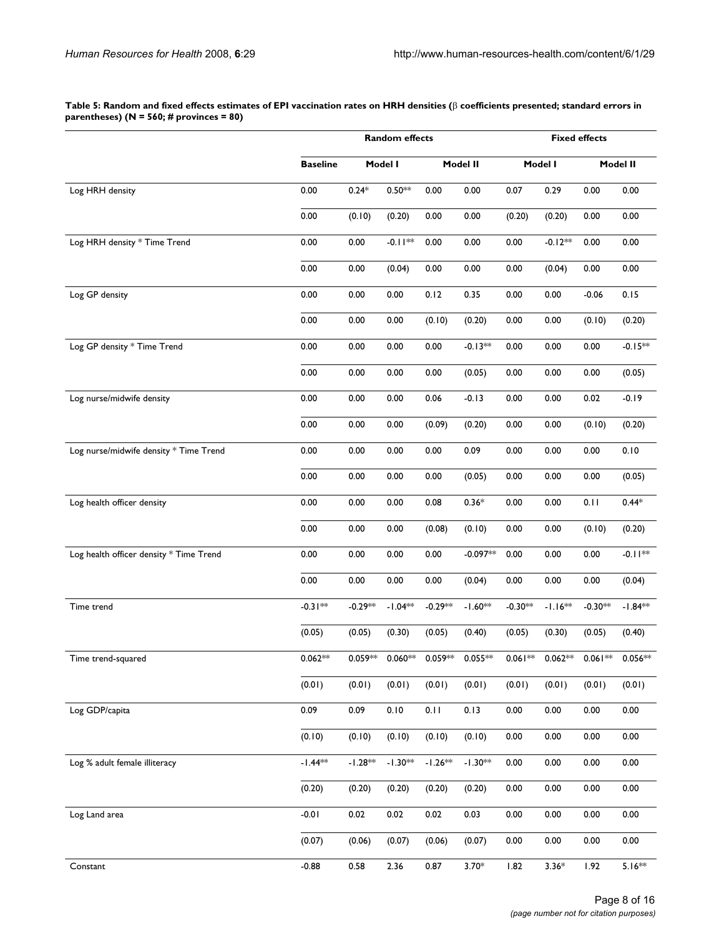#### **Table 5: Random and fixed effects estimates of EPI vaccination rates on HRH densities (**β **coefficients presented; standard errors in parentheses) (N = 560; # provinces = 80)**

|                                         |                 | <b>Random effects</b> |           |           |            | <b>Fixed effects</b> |           |           |           |
|-----------------------------------------|-----------------|-----------------------|-----------|-----------|------------|----------------------|-----------|-----------|-----------|
|                                         | <b>Baseline</b> |                       | Model I   |           | Model II   |                      | Model I   |           | Model II  |
| Log HRH density                         | 0.00            | $0.24*$               | $0.50**$  | 0.00      | 0.00       | 0.07                 | 0.29      | 0.00      | 0.00      |
|                                         | 0.00            | (0.10)                | (0.20)    | 0.00      | 0.00       | (0.20)               | (0.20)    | 0.00      | 0.00      |
| Log HRH density * Time Trend            | 0.00            | 0.00                  | $-0.11**$ | 0.00      | 0.00       | 0.00                 | $-0.12**$ | 0.00      | 0.00      |
|                                         | 0.00            | 0.00                  | (0.04)    | 0.00      | 0.00       | 0.00                 | (0.04)    | 0.00      | 0.00      |
| Log GP density                          | 0.00            | 0.00                  | 0.00      | 0.12      | 0.35       | 0.00                 | 0.00      | $-0.06$   | 0.15      |
|                                         | 0.00            | 0.00                  | 0.00      | (0.10)    | (0.20)     | 0.00                 | 0.00      | (0.10)    | (0.20)    |
| Log GP density * Time Trend             | 0.00            | 0.00                  | 0.00      | 0.00      | $-0.13**$  | 0.00                 | 0.00      | 0.00      | $-0.15**$ |
|                                         | 0.00            | 0.00                  | 0.00      | 0.00      | (0.05)     | 0.00                 | 0.00      | 0.00      | (0.05)    |
| Log nurse/midwife density               | 0.00            | 0.00                  | 0.00      | 0.06      | $-0.13$    | 0.00                 | 0.00      | 0.02      | $-0.19$   |
|                                         | 0.00            | 0.00                  | 0.00      | (0.09)    | (0.20)     | 0.00                 | 0.00      | (0.10)    | (0.20)    |
| Log nurse/midwife density * Time Trend  | 0.00            | 0.00                  | 0.00      | 0.00      | 0.09       | 0.00                 | 0.00      | 0.00      | 0.10      |
|                                         | 0.00            | 0.00                  | 0.00      | 0.00      | (0.05)     | 0.00                 | 0.00      | 0.00      | (0.05)    |
| Log health officer density              | 0.00            | 0.00                  | 0.00      | 0.08      | $0.36*$    | 0.00                 | 0.00      | 0.11      | $0.44*$   |
|                                         | 0.00            | 0.00                  | 0.00      | (0.08)    | (0.10)     | 0.00                 | 0.00      | (0.10)    | (0.20)    |
| Log health officer density * Time Trend | 0.00            | 0.00                  | 0.00      | 0.00      | $-0.097**$ | 0.00                 | 0.00      | 0.00      | $-0.11**$ |
|                                         | 0.00            | 0.00                  | 0.00      | 0.00      | (0.04)     | 0.00                 | 0.00      | 0.00      | (0.04)    |
| Time trend                              | $-0.31**$       | $-0.29**$             | $-1.04**$ | $-0.29**$ | $-1.60**$  | $-0.30**$            | $-1.16**$ | $-0.30**$ | $-1.84**$ |
|                                         | (0.05)          | (0.05)                | (0.30)    | (0.05)    | (0.40)     | (0.05)               | (0.30)    | (0.05)    | (0.40)    |
| Time trend-squared                      | $0.062**$       | $0.059**$             | $0.060**$ | $0.059**$ | $0.055**$  | $0.061**$            | $0.062**$ | $0.061**$ | $0.056**$ |
|                                         | (0.01)          | (0.01)                | (0.01)    | (0.01)    | (0.01)     | (0.01)               | (0.01)    | (0.01)    | (0.01)    |
| Log GDP/capita                          | 0.09            | 0.09                  | 0.10      | 0.11      | 0.13       | 0.00                 | $0.00\,$  | 0.00      | 0.00      |
|                                         | (0.10)          | (0.10)                | (0.10)    | (0.10)    | (0.10)     | 0.00                 | 0.00      | 0.00      | 0.00      |
| Log % adult female illiteracy           | $-1.44**$       | $-1.28**$             | $-1.30**$ | $-1.26**$ | $-1.30**$  | 0.00                 | 0.00      | 0.00      | 0.00      |
|                                         | (0.20)          | (0.20)                | (0.20)    | (0.20)    | (0.20)     | 0.00                 | 0.00      | 0.00      | 0.00      |
| Log Land area                           | $-0.01$         | 0.02                  | 0.02      | 0.02      | 0.03       | 0.00                 | 0.00      | 0.00      | 0.00      |
|                                         | (0.07)          | (0.06)                | (0.07)    | (0.06)    | (0.07)     | 0.00                 | 0.00      | 0.00      | 0.00      |
| Constant                                | $-0.88$         | 0.58                  | 2.36      | 0.87      | $3.70*$    | 1.82                 | $3.36*$   | 1.92      | $5.16**$  |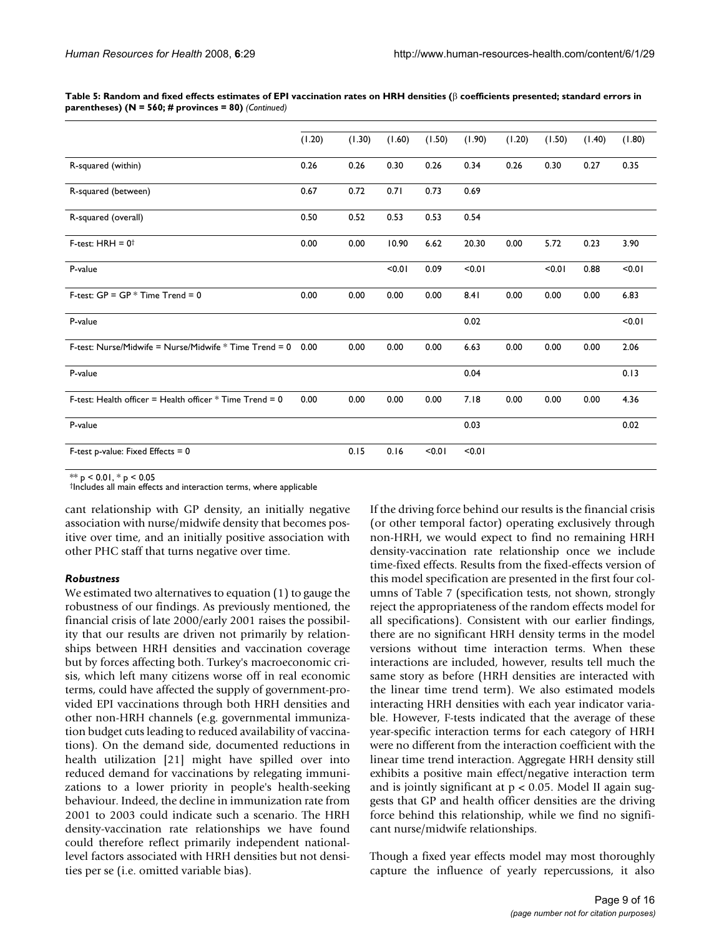|                                                            | (1.20) | (1.30) | (1.60) | (1.50) | (1.90) | (1.20) | (1.50) | (1.40) | (1.80) |
|------------------------------------------------------------|--------|--------|--------|--------|--------|--------|--------|--------|--------|
| R-squared (within)                                         | 0.26   | 0.26   | 0.30   | 0.26   | 0.34   | 0.26   | 0.30   | 0.27   | 0.35   |
| R-squared (between)                                        | 0.67   | 0.72   | 0.71   | 0.73   | 0.69   |        |        |        |        |
| R-squared (overall)                                        | 0.50   | 0.52   | 0.53   | 0.53   | 0.54   |        |        |        |        |
| F-test: $HRH = 0^+$                                        | 0.00   | 0.00   | 10.90  | 6.62   | 20.30  | 0.00   | 5.72   | 0.23   | 3.90   |
| P-value                                                    |        |        | < 0.01 | 0.09   | < 0.01 |        | < 0.01 | 0.88   | < 0.01 |
| F-test: $GP = GP * Time$ Trend = 0                         | 0.00   | 0.00   | 0.00   | 0.00   | 8.41   | 0.00   | 0.00   | 0.00   | 6.83   |
| P-value                                                    |        |        |        |        | 0.02   |        |        |        | < 0.01 |
| F-test: Nurse/Midwife = Nurse/Midwife $*$ Time Trend = 0   | 0.00   | 0.00   | 0.00   | 0.00   | 6.63   | 0.00   | 0.00   | 0.00   | 2.06   |
| P-value                                                    |        |        |        |        | 0.04   |        |        |        | 0.13   |
| F-test: Health officer = Health officer $*$ Time Trend = 0 | 0.00   | 0.00   | 0.00   | 0.00   | 7.18   | 0.00   | 0.00   | 0.00   | 4.36   |
| P-value                                                    |        |        |        |        | 0.03   |        |        |        | 0.02   |
| F-test p-value: Fixed Effects = $0$                        |        | 0.15   | 0.16   | < 0.01 | < 0.01 |        |        |        |        |

**Table 5: Random and fixed effects estimates of EPI vaccination rates on HRH densities (**β **coefficients presented; standard errors in parentheses) (N = 560; # provinces = 80)** *(Continued)*

 $** p < 0.01$ ,  $* p < 0.05$ 

†Includes all main effects and interaction terms, where applicable

cant relationship with GP density, an initially negative association with nurse/midwife density that becomes positive over time, and an initially positive association with other PHC staff that turns negative over time.

#### *Robustness*

We estimated two alternatives to equation (1) to gauge the robustness of our findings. As previously mentioned, the financial crisis of late 2000/early 2001 raises the possibility that our results are driven not primarily by relationships between HRH densities and vaccination coverage but by forces affecting both. Turkey's macroeconomic crisis, which left many citizens worse off in real economic terms, could have affected the supply of government-provided EPI vaccinations through both HRH densities and other non-HRH channels (e.g. governmental immunization budget cuts leading to reduced availability of vaccinations). On the demand side, documented reductions in health utilization [21] might have spilled over into reduced demand for vaccinations by relegating immunizations to a lower priority in people's health-seeking behaviour. Indeed, the decline in immunization rate from 2001 to 2003 could indicate such a scenario. The HRH density-vaccination rate relationships we have found could therefore reflect primarily independent nationallevel factors associated with HRH densities but not densities per se (i.e. omitted variable bias).

If the driving force behind our results is the financial crisis (or other temporal factor) operating exclusively through non-HRH, we would expect to find no remaining HRH density-vaccination rate relationship once we include time-fixed effects. Results from the fixed-effects version of this model specification are presented in the first four columns of Table 7 (specification tests, not shown, strongly reject the appropriateness of the random effects model for all specifications). Consistent with our earlier findings, there are no significant HRH density terms in the model versions without time interaction terms. When these interactions are included, however, results tell much the same story as before (HRH densities are interacted with the linear time trend term). We also estimated models interacting HRH densities with each year indicator variable. However, F-tests indicated that the average of these year-specific interaction terms for each category of HRH were no different from the interaction coefficient with the linear time trend interaction. Aggregate HRH density still exhibits a positive main effect/negative interaction term and is jointly significant at  $p < 0.05$ . Model II again suggests that GP and health officer densities are the driving force behind this relationship, while we find no significant nurse/midwife relationships.

Though a fixed year effects model may most thoroughly capture the influence of yearly repercussions, it also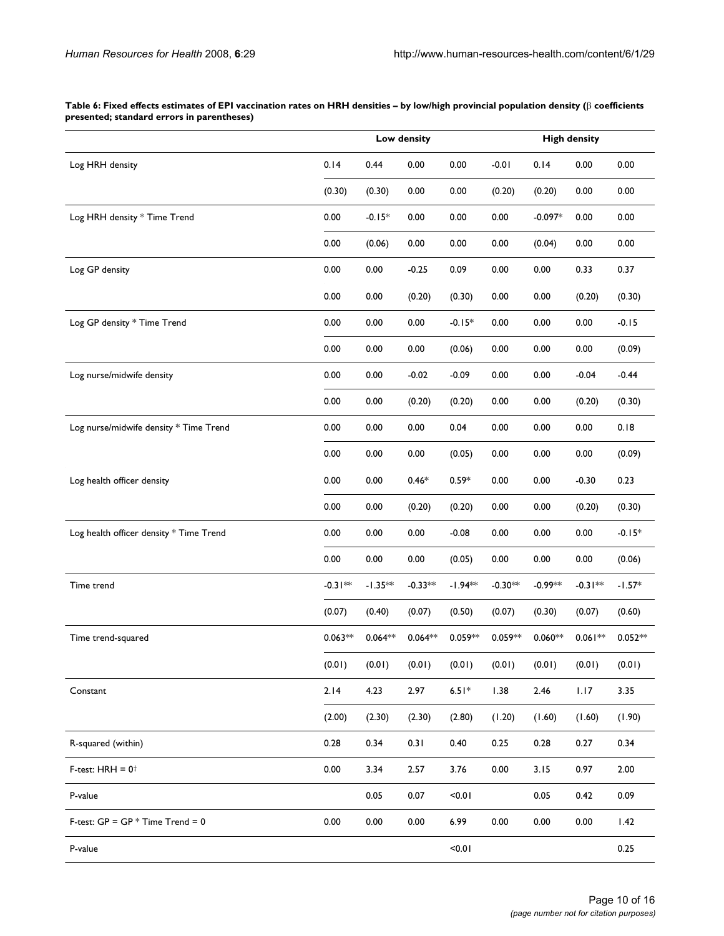Low density **High density** Log HRH density 0.14 0.44 0.00 0.00 -0.01 0.14 0.00 0.00 (0.30) (0.30) 0.00 0.00 (0.20) (0.20) 0.00 0.00 Log HRH density \* Time Trend  $0.00$  0.00  $-0.15*$  0.00 0.00 0.00 0.00 0.00 0.00 0.00 0.00 (0.06) 0.00 0.00 0.00 (0.04) 0.00 0.00 Log GP density 0.00 0.00 -0.25 0.09 0.00 0.00 0.33 0.37 0.00 0.00 (0.20) (0.30) 0.00 0.00 (0.20) (0.30) Log GP density \* Time Trend 0.00 0.00 0.00 -0.15\* 0.00 0.00 0.00 -0.15 0.00 0.00 0.00 (0.06) 0.00 0.00 0.00 (0.09) Log nurse/midwife density 0.00 0.00 -0.02 -0.09 0.00 0.00 -0.04 -0.44 0.00 0.00 (0.20) (0.20) 0.00 0.00 (0.20) (0.30) Log nurse/midwife density \* Time Trend 0.00 0.00 0.00 0.04 0.00 0.00 0.00 0.18 0.00 0.00 0.00 (0.05) 0.00 0.00 0.00 (0.09) Log health officer density 0.00 0.00 0.46\* 0.59\* 0.00 0.00 -0.30 0.23 0.00 0.00 (0.20) (0.20) 0.00 0.00 (0.20) (0.30) Log health officer density \* Time Trend 0.00 0.00 0.00 -0.08 0.00 0.00 0.00 -0.15\* 0.00 0.00 0.00 (0.05) 0.00 0.00 0.00 (0.06) Time trend -0.31\*\* -1.35\*\* -0.33\*\* -1.94\*\* -0.30\*\* -0.99\*\* -0.31\*\* -1.57\* (0.07) (0.40) (0.07) (0.50) (0.07) (0.30) (0.07) (0.60) Time trend-squared 1.052<sup>3★\*</sup> 0.063 **\*\*** 0.064<sup>3★\*</sup> 0.064<sup>\*\*</sup> 0.059<sup>★\*</sup> 0.059<sup>★\*</sup> 0.060<sup>★\*</sup> 0.061<sup>★\*</sup> 0.052<sup>★\*</sup> (0.01) (0.01) (0.01) (0.01) (0.01) (0.01) (0.01) (0.01) Constant 2.14 4.23 2.97 6.51\* 1.38 2.46 1.17 3.35 (2.00) (2.30) (2.30) (2.80) (1.20) (1.60) (1.60) (1.90) R-squared (within) 0.28 0.34 0.31 0.40 0.25 0.28 0.27 0.34 F-test: HRH = 0† 0.00 3.34 2.57 3.76 0.00 3.15 0.97 2.00 P-value 0.05 0.07 <0.01 0.05 0.42 0.09 F-test: GP = GP \* Time Trend = 0 0.00 0.00 0.00 6.99 0.00 0.00 0.00 1.42 P-value the contract of the contract of the contract of the contract of the contract of the contract of the contract of the contract of the contract of the contract of the contract of the contract of the contract of the co

**Table 6: Fixed effects estimates of EPI vaccination rates on HRH densities – by low/high provincial population density (**β **coefficients presented; standard errors in parentheses)**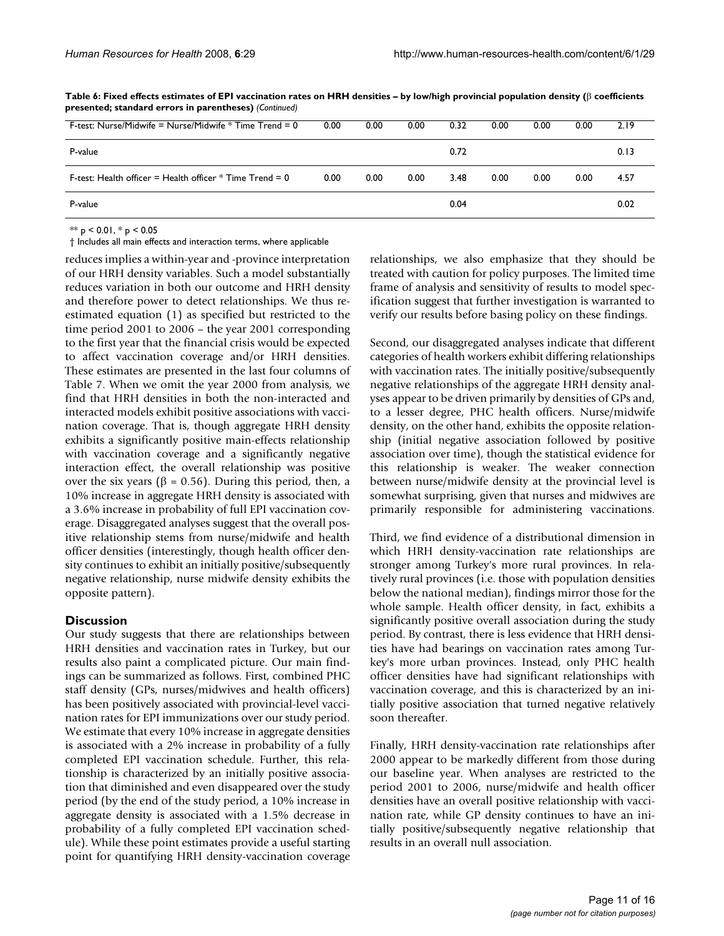| F-test: Nurse/Midwife = Nurse/Midwife $*$ Time Trend = 0   | 0.00 | 0.00 | 0.00 | 0.32 | 0.00 | 0.00 | 0.00 | 2.19 |
|------------------------------------------------------------|------|------|------|------|------|------|------|------|
| P-value                                                    |      |      |      | 0.72 |      |      |      | 0.13 |
| F-test: Health officer = Health officer $*$ Time Trend = 0 | 0.00 | 0.00 | 0.00 | 3.48 | 0.00 | 0.00 | 0.00 | 4.57 |
| P-value                                                    |      |      |      | 0.04 |      |      |      | 0.02 |

**Table 6: Fixed effects estimates of EPI vaccination rates on HRH densities – by low/high provincial population density (**β **coefficients presented; standard errors in parentheses)** *(Continued)*

 $** p < 0.01, * p < 0.05$ 

† Includes all main effects and interaction terms, where applicable

reduces implies a within-year and -province interpretation of our HRH density variables. Such a model substantially reduces variation in both our outcome and HRH density and therefore power to detect relationships. We thus reestimated equation (1) as specified but restricted to the time period 2001 to 2006 – the year 2001 corresponding to the first year that the financial crisis would be expected to affect vaccination coverage and/or HRH densities. These estimates are presented in the last four columns of Table 7. When we omit the year 2000 from analysis, we find that HRH densities in both the non-interacted and interacted models exhibit positive associations with vaccination coverage. That is, though aggregate HRH density exhibits a significantly positive main-effects relationship with vaccination coverage and a significantly negative interaction effect, the overall relationship was positive over the six years (β = 0.56). During this period, then, a 10% increase in aggregate HRH density is associated with a 3.6% increase in probability of full EPI vaccination coverage. Disaggregated analyses suggest that the overall positive relationship stems from nurse/midwife and health officer densities (interestingly, though health officer density continues to exhibit an initially positive/subsequently negative relationship, nurse midwife density exhibits the opposite pattern).

#### **Discussion**

Our study suggests that there are relationships between HRH densities and vaccination rates in Turkey, but our results also paint a complicated picture. Our main findings can be summarized as follows. First, combined PHC staff density (GPs, nurses/midwives and health officers) has been positively associated with provincial-level vaccination rates for EPI immunizations over our study period. We estimate that every 10% increase in aggregate densities is associated with a 2% increase in probability of a fully completed EPI vaccination schedule. Further, this relationship is characterized by an initially positive association that diminished and even disappeared over the study period (by the end of the study period, a 10% increase in aggregate density is associated with a 1.5% decrease in probability of a fully completed EPI vaccination schedule). While these point estimates provide a useful starting point for quantifying HRH density-vaccination coverage relationships, we also emphasize that they should be treated with caution for policy purposes. The limited time frame of analysis and sensitivity of results to model specification suggest that further investigation is warranted to verify our results before basing policy on these findings.

Second, our disaggregated analyses indicate that different categories of health workers exhibit differing relationships with vaccination rates. The initially positive/subsequently negative relationships of the aggregate HRH density analyses appear to be driven primarily by densities of GPs and, to a lesser degree, PHC health officers. Nurse/midwife density, on the other hand, exhibits the opposite relationship (initial negative association followed by positive association over time), though the statistical evidence for this relationship is weaker. The weaker connection between nurse/midwife density at the provincial level is somewhat surprising, given that nurses and midwives are primarily responsible for administering vaccinations.

Third, we find evidence of a distributional dimension in which HRH density-vaccination rate relationships are stronger among Turkey's more rural provinces. In relatively rural provinces (i.e. those with population densities below the national median), findings mirror those for the whole sample. Health officer density, in fact, exhibits a significantly positive overall association during the study period. By contrast, there is less evidence that HRH densities have had bearings on vaccination rates among Turkey's more urban provinces. Instead, only PHC health officer densities have had significant relationships with vaccination coverage, and this is characterized by an initially positive association that turned negative relatively soon thereafter.

Finally, HRH density-vaccination rate relationships after 2000 appear to be markedly different from those during our baseline year. When analyses are restricted to the period 2001 to 2006, nurse/midwife and health officer densities have an overall positive relationship with vaccination rate, while GP density continues to have an initially positive/subsequently negative relationship that results in an overall null association.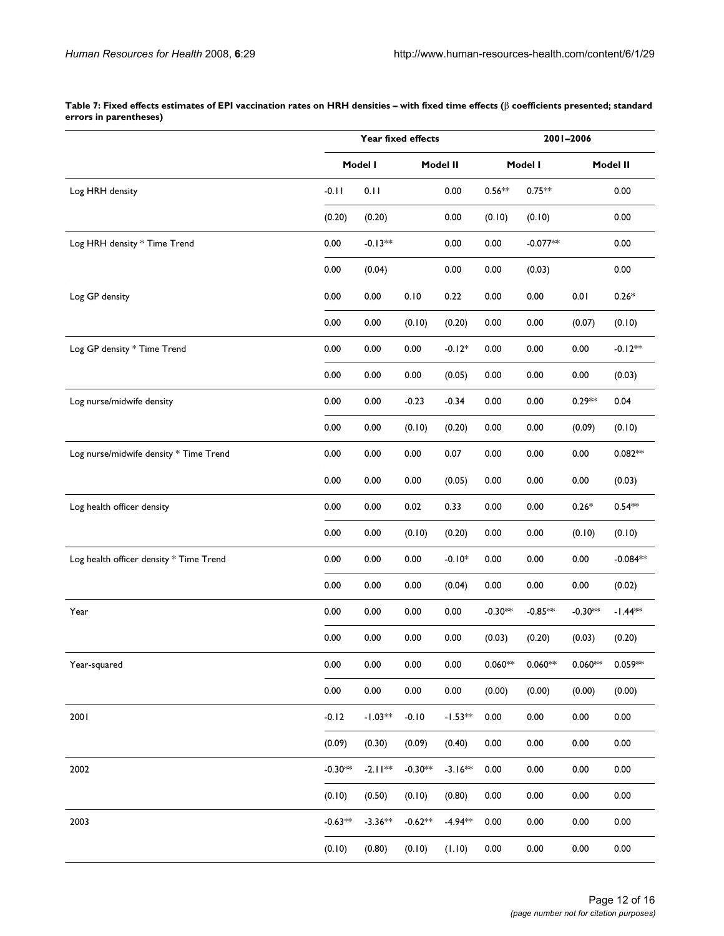|                                         | Year fixed effects |           |           |           | 2001-2006 |            |           |            |  |
|-----------------------------------------|--------------------|-----------|-----------|-----------|-----------|------------|-----------|------------|--|
|                                         |                    | Model I   | Model II  |           |           | Model I    |           | Model II   |  |
| Log HRH density                         | $-0.11$            | 0.11      |           | 0.00      | $0.56**$  | $0.75**$   |           | 0.00       |  |
|                                         | (0.20)             | (0.20)    |           | 0.00      | (0.10)    | (0.10)     |           | 0.00       |  |
| Log HRH density * Time Trend            | 0.00               | $-0.13**$ |           | 0.00      | 0.00      | $-0.077**$ |           | 0.00       |  |
|                                         | 0.00               | (0.04)    |           | 0.00      | 0.00      | (0.03)     |           | 0.00       |  |
| Log GP density                          | 0.00               | 0.00      | 0.10      | 0.22      | 0.00      | 0.00       | 0.01      | $0.26*$    |  |
|                                         | 0.00               | 0.00      | (0.10)    | (0.20)    | 0.00      | $0.00\,$   | (0.07)    | (0.10)     |  |
| Log GP density * Time Trend             | 0.00               | 0.00      | 0.00      | $-0.12*$  | 0.00      | 0.00       | 0.00      | $-0.12**$  |  |
|                                         | 0.00               | 0.00      | 0.00      | (0.05)    | 0.00      | 0.00       | 0.00      | (0.03)     |  |
| Log nurse/midwife density               | 0.00               | 0.00      | $-0.23$   | $-0.34$   | 0.00      | 0.00       | $0.29**$  | 0.04       |  |
|                                         | 0.00               | 0.00      | (0.10)    | (0.20)    | 0.00      | $0.00\,$   | (0.09)    | (0.10)     |  |
| Log nurse/midwife density * Time Trend  | 0.00               | 0.00      | $0.00\,$  | 0.07      | 0.00      | 0.00       | 0.00      | $0.082**$  |  |
|                                         | 0.00               | 0.00      | 0.00      | (0.05)    | 0.00      | 0.00       | 0.00      | (0.03)     |  |
| Log health officer density              | 0.00               | 0.00      | 0.02      | 0.33      | 0.00      | 0.00       | $0.26*$   | $0.54**$   |  |
|                                         | 0.00               | 0.00      | (0.10)    | (0.20)    | 0.00      | 0.00       | (0.10)    | (0.10)     |  |
| Log health officer density * Time Trend | 0.00               | 0.00      | 0.00      | $-0.10*$  | 0.00      | 0.00       | 0.00      | $-0.084**$ |  |
|                                         | 0.00               | 0.00      | 0.00      | (0.04)    | 0.00      | 0.00       | 0.00      | (0.02)     |  |
| Year                                    | 0.00               | 0.00      | 0.00      | 0.00      | $-0.30**$ | $-0.85**$  | $-0.30**$ | $-1.44**$  |  |
|                                         | 0.00               | 0.00      | 0.00      | 0.00      | (0.03)    | (0.20)     | (0.03)    | (0.20)     |  |
| Year-squared                            | 0.00               | 0.00      | 0.00      | 0.00      | $0.060**$ | $0.060**$  | $0.060**$ | $0.059**$  |  |
|                                         | 0.00               | 0.00      | 0.00      | 0.00      | (0.00)    | (0.00)     | (0.00)    | (0.00)     |  |
| 2001                                    | $-0.12$            | $-1.03**$ | $-0.10$   | $-1.53**$ | 0.00      | 0.00       | 0.00      | 0.00       |  |
|                                         | (0.09)             | (0.30)    | (0.09)    | (0.40)    | 0.00      | 0.00       | 0.00      | 0.00       |  |
| 2002                                    | $-0.30**$          | $-2.11**$ | $-0.30**$ | $-3.16**$ | 0.00      | 0.00       | 0.00      | 0.00       |  |
|                                         | (0.10)             | (0.50)    | (0.10)    | (0.80)    | 0.00      | 0.00       | 0.00      | 0.00       |  |
| 2003                                    | $-0.63**$          | $-3.36**$ | $-0.62**$ | $-4.94**$ | 0.00      | 0.00       | 0.00      | 0.00       |  |
|                                         | (0.10)             | (0.80)    | (0.10)    | (1.10)    | 0.00      | 0.00       | 0.00      | 0.00       |  |

**Table 7: Fixed effects estimates of EPI vaccination rates on HRH densities – with fixed time effects (**β **coefficients presented; standard errors in parentheses)**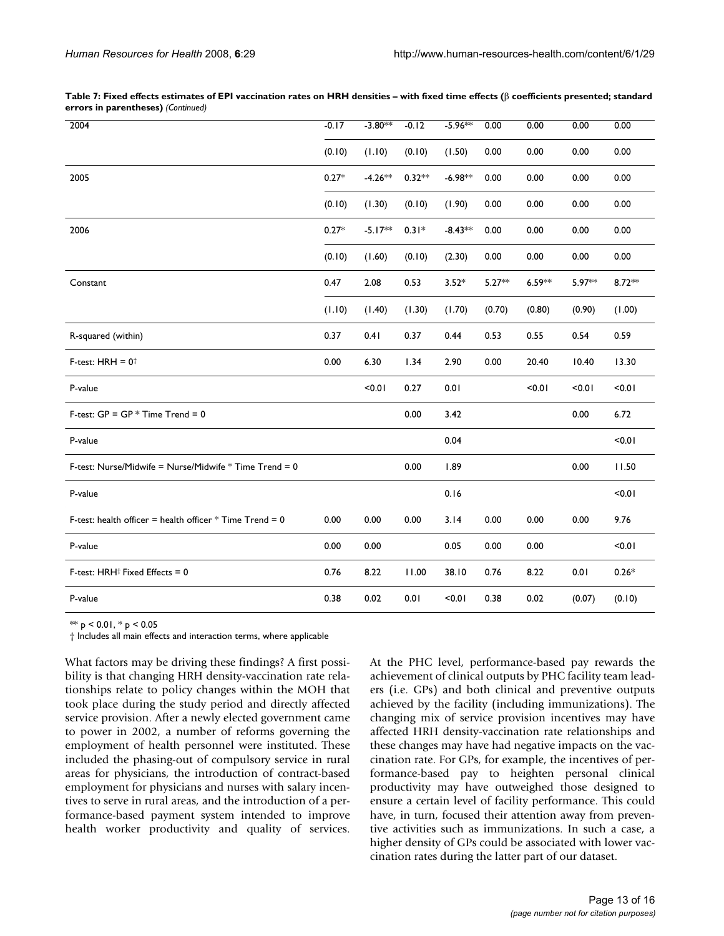| 2004                                                       | $-0.17$ | $-3.80**$ | $-0.12$  | $-5.96**$ | 0.00     | 0.00     | 0.00   | 0.00     |
|------------------------------------------------------------|---------|-----------|----------|-----------|----------|----------|--------|----------|
|                                                            | (0.10)  | (1.10)    | (0.10)   | (1.50)    | 0.00     | 0.00     | 0.00   | 0.00     |
| 2005                                                       | $0.27*$ | $-4.26**$ | $0.32**$ | $-6.98**$ | 0.00     | 0.00     | 0.00   | 0.00     |
|                                                            | (0.10)  | (1.30)    | (0.10)   | (1.90)    | 0.00     | 0.00     | 0.00   | 0.00     |
| 2006                                                       | $0.27*$ | $-5.17**$ | $0.31*$  | $-8.43**$ | 0.00     | 0.00     | 0.00   | 0.00     |
|                                                            | (0.10)  | (1.60)    | (0.10)   | (2.30)    | 0.00     | 0.00     | 0.00   | 0.00     |
| Constant                                                   | 0.47    | 2.08      | 0.53     | $3.52*$   | $5.27**$ | $6.59**$ | 5.97** | $8.72**$ |
|                                                            | (1.10)  | (1.40)    | (1.30)   | (1.70)    | (0.70)   | (0.80)   | (0.90) | (1.00)   |
| R-squared (within)                                         | 0.37    | 0.41      | 0.37     | 0.44      | 0.53     | 0.55     | 0.54   | 0.59     |
| $F$ -test: $HRH = 0$ †                                     | 0.00    | 6.30      | 1.34     | 2.90      | 0.00     | 20.40    | 10.40  | 13.30    |
| P-value                                                    |         | < 0.01    | 0.27     | 0.01      |          | < 0.01   | < 0.01 | < 0.01   |
| F-test: $GP = GP * Time$ Trend = 0                         |         |           | 0.00     | 3.42      |          |          | 0.00   | 6.72     |
| P-value                                                    |         |           |          | 0.04      |          |          |        | < 0.01   |
| F-test: Nurse/Midwife = Nurse/Midwife * Time Trend = 0     |         |           | 0.00     | 1.89      |          |          | 0.00   | 11.50    |
| P-value                                                    |         |           |          | 0.16      |          |          |        | < 0.01   |
| F-test: health officer = health officer $*$ Time Trend = 0 | 0.00    | 0.00      | 0.00     | 3.14      | 0.00     | 0.00     | 0.00   | 9.76     |
| P-value                                                    | 0.00    | 0.00      |          | $0.05\,$  | 0.00     | 0.00     |        | < 0.01   |
| F-test: $HRH^{\dagger}$ Fixed Effects = 0                  | 0.76    | 8.22      | 11.00    | 38.10     | 0.76     | 8.22     | 0.01   | $0.26*$  |
| P-value                                                    | 0.38    | 0.02      | 0.01     | < 0.01    | 0.38     | 0.02     | (0.07) | (0.10)   |

**Table 7: Fixed effects estimates of EPI vaccination rates on HRH densities – with fixed time effects (**β **coefficients presented; standard errors in parentheses)** *(Continued)*

\*\*  $p$  < 0.01, \*  $p$  < 0.05

† Includes all main effects and interaction terms, where applicable

What factors may be driving these findings? A first possibility is that changing HRH density-vaccination rate relationships relate to policy changes within the MOH that took place during the study period and directly affected service provision. After a newly elected government came to power in 2002, a number of reforms governing the employment of health personnel were instituted. These included the phasing-out of compulsory service in rural areas for physicians, the introduction of contract-based employment for physicians and nurses with salary incentives to serve in rural areas, and the introduction of a performance-based payment system intended to improve health worker productivity and quality of services.

At the PHC level, performance-based pay rewards the achievement of clinical outputs by PHC facility team leaders (i.e. GPs) and both clinical and preventive outputs achieved by the facility (including immunizations). The changing mix of service provision incentives may have affected HRH density-vaccination rate relationships and these changes may have had negative impacts on the vaccination rate. For GPs, for example, the incentives of performance-based pay to heighten personal clinical productivity may have outweighed those designed to ensure a certain level of facility performance. This could have, in turn, focused their attention away from preventive activities such as immunizations. In such a case, a higher density of GPs could be associated with lower vaccination rates during the latter part of our dataset.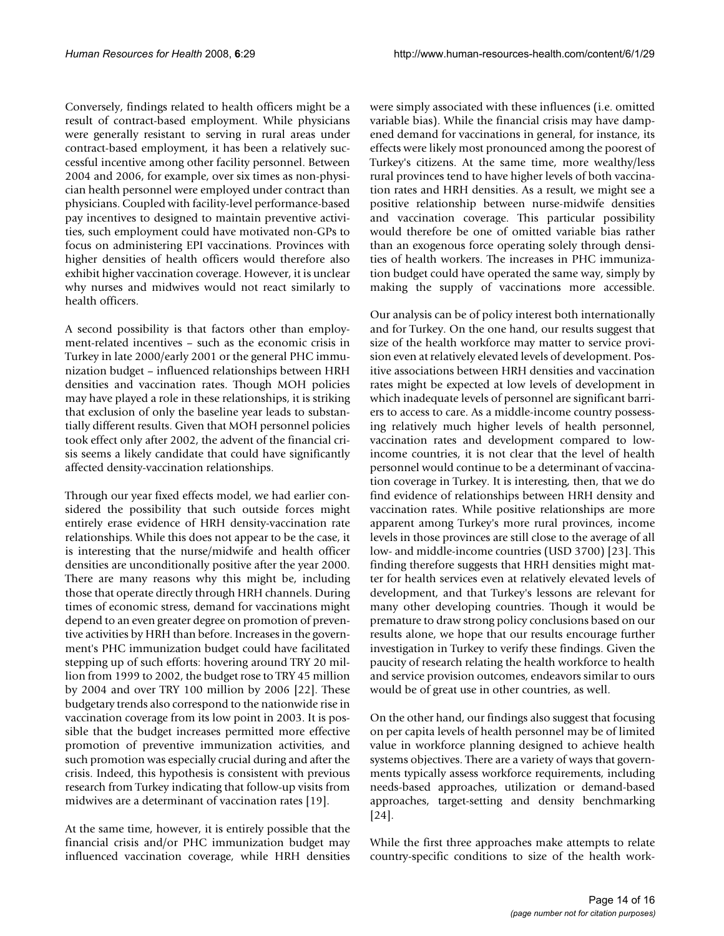Conversely, findings related to health officers might be a result of contract-based employment. While physicians were generally resistant to serving in rural areas under contract-based employment, it has been a relatively successful incentive among other facility personnel. Between 2004 and 2006, for example, over six times as non-physician health personnel were employed under contract than physicians. Coupled with facility-level performance-based pay incentives to designed to maintain preventive activities, such employment could have motivated non-GPs to focus on administering EPI vaccinations. Provinces with higher densities of health officers would therefore also exhibit higher vaccination coverage. However, it is unclear why nurses and midwives would not react similarly to health officers.

A second possibility is that factors other than employment-related incentives – such as the economic crisis in Turkey in late 2000/early 2001 or the general PHC immunization budget – influenced relationships between HRH densities and vaccination rates. Though MOH policies may have played a role in these relationships, it is striking that exclusion of only the baseline year leads to substantially different results. Given that MOH personnel policies took effect only after 2002, the advent of the financial crisis seems a likely candidate that could have significantly affected density-vaccination relationships.

Through our year fixed effects model, we had earlier considered the possibility that such outside forces might entirely erase evidence of HRH density-vaccination rate relationships. While this does not appear to be the case, it is interesting that the nurse/midwife and health officer densities are unconditionally positive after the year 2000. There are many reasons why this might be, including those that operate directly through HRH channels. During times of economic stress, demand for vaccinations might depend to an even greater degree on promotion of preventive activities by HRH than before. Increases in the government's PHC immunization budget could have facilitated stepping up of such efforts: hovering around TRY 20 million from 1999 to 2002, the budget rose to TRY 45 million by 2004 and over TRY 100 million by 2006 [22]. These budgetary trends also correspond to the nationwide rise in vaccination coverage from its low point in 2003. It is possible that the budget increases permitted more effective promotion of preventive immunization activities, and such promotion was especially crucial during and after the crisis. Indeed, this hypothesis is consistent with previous research from Turkey indicating that follow-up visits from midwives are a determinant of vaccination rates [19].

At the same time, however, it is entirely possible that the financial crisis and/or PHC immunization budget may influenced vaccination coverage, while HRH densities

were simply associated with these influences (i.e. omitted variable bias). While the financial crisis may have dampened demand for vaccinations in general, for instance, its effects were likely most pronounced among the poorest of Turkey's citizens. At the same time, more wealthy/less rural provinces tend to have higher levels of both vaccination rates and HRH densities. As a result, we might see a positive relationship between nurse-midwife densities and vaccination coverage. This particular possibility would therefore be one of omitted variable bias rather than an exogenous force operating solely through densities of health workers. The increases in PHC immunization budget could have operated the same way, simply by making the supply of vaccinations more accessible.

Our analysis can be of policy interest both internationally and for Turkey. On the one hand, our results suggest that size of the health workforce may matter to service provision even at relatively elevated levels of development. Positive associations between HRH densities and vaccination rates might be expected at low levels of development in which inadequate levels of personnel are significant barriers to access to care. As a middle-income country possessing relatively much higher levels of health personnel, vaccination rates and development compared to lowincome countries, it is not clear that the level of health personnel would continue to be a determinant of vaccination coverage in Turkey. It is interesting, then, that we do find evidence of relationships between HRH density and vaccination rates. While positive relationships are more apparent among Turkey's more rural provinces, income levels in those provinces are still close to the average of all low- and middle-income countries (USD 3700) [23]. This finding therefore suggests that HRH densities might matter for health services even at relatively elevated levels of development, and that Turkey's lessons are relevant for many other developing countries. Though it would be premature to draw strong policy conclusions based on our results alone, we hope that our results encourage further investigation in Turkey to verify these findings. Given the paucity of research relating the health workforce to health and service provision outcomes, endeavors similar to ours would be of great use in other countries, as well.

On the other hand, our findings also suggest that focusing on per capita levels of health personnel may be of limited value in workforce planning designed to achieve health systems objectives. There are a variety of ways that governments typically assess workforce requirements, including needs-based approaches, utilization or demand-based approaches, target-setting and density benchmarking [24].

While the first three approaches make attempts to relate country-specific conditions to size of the health work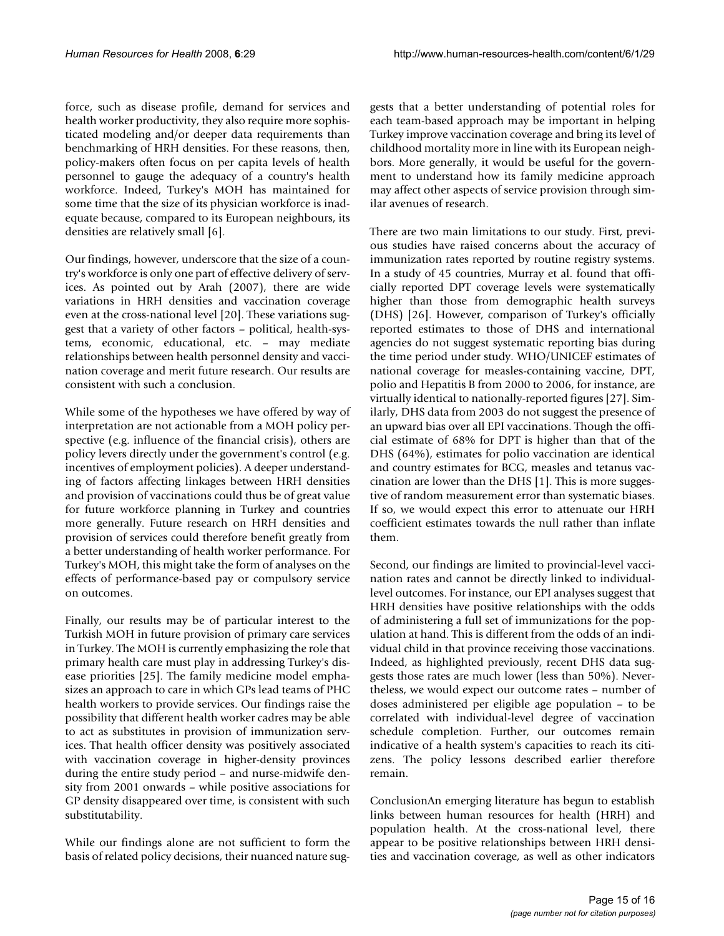force, such as disease profile, demand for services and health worker productivity, they also require more sophisticated modeling and/or deeper data requirements than benchmarking of HRH densities. For these reasons, then, policy-makers often focus on per capita levels of health personnel to gauge the adequacy of a country's health workforce. Indeed, Turkey's MOH has maintained for some time that the size of its physician workforce is inadequate because, compared to its European neighbours, its densities are relatively small [6].

Our findings, however, underscore that the size of a country's workforce is only one part of effective delivery of services. As pointed out by Arah (2007), there are wide variations in HRH densities and vaccination coverage even at the cross-national level [20]. These variations suggest that a variety of other factors – political, health-systems, economic, educational, etc. – may mediate relationships between health personnel density and vaccination coverage and merit future research. Our results are consistent with such a conclusion.

While some of the hypotheses we have offered by way of interpretation are not actionable from a MOH policy perspective (e.g. influence of the financial crisis), others are policy levers directly under the government's control (e.g. incentives of employment policies). A deeper understanding of factors affecting linkages between HRH densities and provision of vaccinations could thus be of great value for future workforce planning in Turkey and countries more generally. Future research on HRH densities and provision of services could therefore benefit greatly from a better understanding of health worker performance. For Turkey's MOH, this might take the form of analyses on the effects of performance-based pay or compulsory service on outcomes.

Finally, our results may be of particular interest to the Turkish MOH in future provision of primary care services in Turkey. The MOH is currently emphasizing the role that primary health care must play in addressing Turkey's disease priorities [25]. The family medicine model emphasizes an approach to care in which GPs lead teams of PHC health workers to provide services. Our findings raise the possibility that different health worker cadres may be able to act as substitutes in provision of immunization services. That health officer density was positively associated with vaccination coverage in higher-density provinces during the entire study period – and nurse-midwife density from 2001 onwards – while positive associations for GP density disappeared over time, is consistent with such substitutability.

While our findings alone are not sufficient to form the basis of related policy decisions, their nuanced nature suggests that a better understanding of potential roles for each team-based approach may be important in helping Turkey improve vaccination coverage and bring its level of childhood mortality more in line with its European neighbors. More generally, it would be useful for the government to understand how its family medicine approach may affect other aspects of service provision through similar avenues of research.

There are two main limitations to our study. First, previous studies have raised concerns about the accuracy of immunization rates reported by routine registry systems. In a study of 45 countries, Murray et al. found that officially reported DPT coverage levels were systematically higher than those from demographic health surveys (DHS) [26]. However, comparison of Turkey's officially reported estimates to those of DHS and international agencies do not suggest systematic reporting bias during the time period under study. WHO/UNICEF estimates of national coverage for measles-containing vaccine, DPT, polio and Hepatitis B from 2000 to 2006, for instance, are virtually identical to nationally-reported figures [27]. Similarly, DHS data from 2003 do not suggest the presence of an upward bias over all EPI vaccinations. Though the official estimate of 68% for DPT is higher than that of the DHS (64%), estimates for polio vaccination are identical and country estimates for BCG, measles and tetanus vaccination are lower than the DHS [1]. This is more suggestive of random measurement error than systematic biases. If so, we would expect this error to attenuate our HRH coefficient estimates towards the null rather than inflate them.

Second, our findings are limited to provincial-level vaccination rates and cannot be directly linked to individuallevel outcomes. For instance, our EPI analyses suggest that HRH densities have positive relationships with the odds of administering a full set of immunizations for the population at hand. This is different from the odds of an individual child in that province receiving those vaccinations. Indeed, as highlighted previously, recent DHS data suggests those rates are much lower (less than 50%). Nevertheless, we would expect our outcome rates – number of doses administered per eligible age population – to be correlated with individual-level degree of vaccination schedule completion. Further, our outcomes remain indicative of a health system's capacities to reach its citizens. The policy lessons described earlier therefore remain.

ConclusionAn emerging literature has begun to establish links between human resources for health (HRH) and population health. At the cross-national level, there appear to be positive relationships between HRH densities and vaccination coverage, as well as other indicators